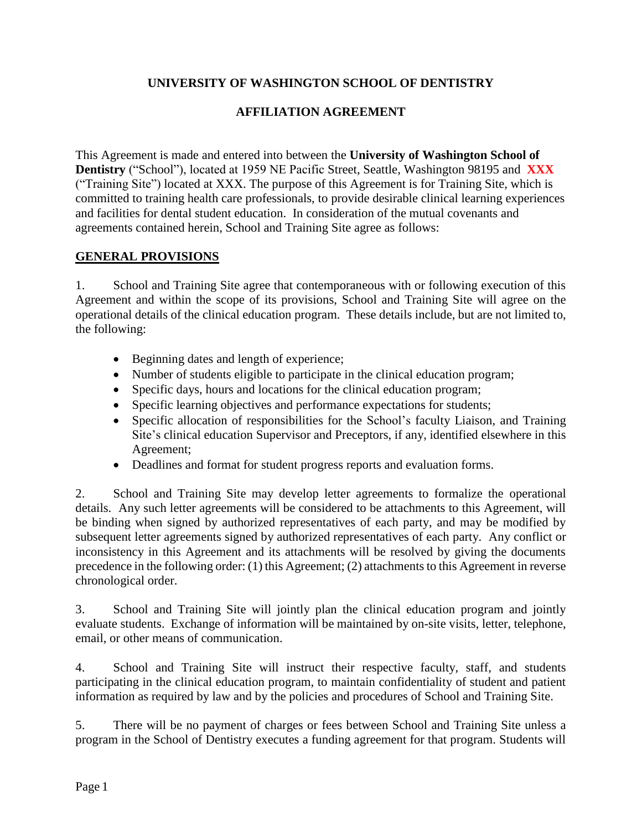### **UNIVERSITY OF WASHINGTON SCHOOL OF DENTISTRY**

### **AFFILIATION AGREEMENT**

This Agreement is made and entered into between the **University of Washington School of Dentistry** ("School"), located at 1959 NE Pacific Street, Seattle, Washington 98195 and **XXX** ("Training Site") located at XXX. The purpose of this Agreement is for Training Site, which is committed to training health care professionals, to provide desirable clinical learning experiences and facilities for dental student education. In consideration of the mutual covenants and agreements contained herein, School and Training Site agree as follows:

#### **GENERAL PROVISIONS**

1. School and Training Site agree that contemporaneous with or following execution of this Agreement and within the scope of its provisions, School and Training Site will agree on the operational details of the clinical education program. These details include, but are not limited to, the following:

- Beginning dates and length of experience;
- Number of students eligible to participate in the clinical education program;
- Specific days, hours and locations for the clinical education program;
- Specific learning objectives and performance expectations for students;
- Specific allocation of responsibilities for the School's faculty Liaison, and Training Site's clinical education Supervisor and Preceptors, if any, identified elsewhere in this Agreement;
- Deadlines and format for student progress reports and evaluation forms.

2. School and Training Site may develop letter agreements to formalize the operational details. Any such letter agreements will be considered to be attachments to this Agreement, will be binding when signed by authorized representatives of each party, and may be modified by subsequent letter agreements signed by authorized representatives of each party. Any conflict or inconsistency in this Agreement and its attachments will be resolved by giving the documents precedence in the following order: (1) this Agreement; (2) attachments to this Agreement in reverse chronological order.

3. School and Training Site will jointly plan the clinical education program and jointly evaluate students. Exchange of information will be maintained by on-site visits, letter, telephone, email, or other means of communication.

4. School and Training Site will instruct their respective faculty, staff, and students participating in the clinical education program, to maintain confidentiality of student and patient information as required by law and by the policies and procedures of School and Training Site.

5. There will be no payment of charges or fees between School and Training Site unless a program in the School of Dentistry executes a funding agreement for that program. Students will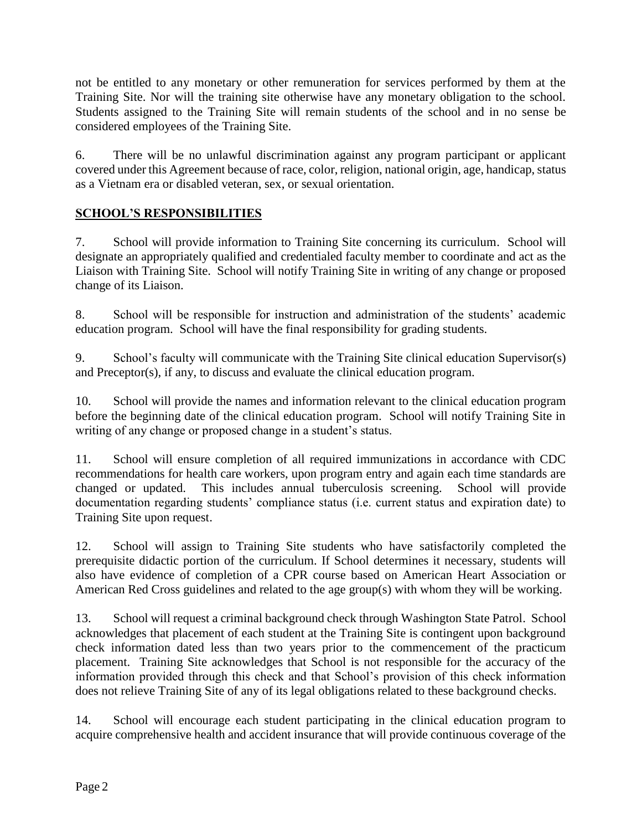not be entitled to any monetary or other remuneration for services performed by them at the Training Site. Nor will the training site otherwise have any monetary obligation to the school. Students assigned to the Training Site will remain students of the school and in no sense be considered employees of the Training Site.

6. There will be no unlawful discrimination against any program participant or applicant covered under this Agreement because of race, color, religion, national origin, age, handicap, status as a Vietnam era or disabled veteran, sex, or sexual orientation.

## **SCHOOL'S RESPONSIBILITIES**

7. School will provide information to Training Site concerning its curriculum. School will designate an appropriately qualified and credentialed faculty member to coordinate and act as the Liaison with Training Site. School will notify Training Site in writing of any change or proposed change of its Liaison.

8. School will be responsible for instruction and administration of the students' academic education program. School will have the final responsibility for grading students.

9. School's faculty will communicate with the Training Site clinical education Supervisor(s) and Preceptor(s), if any, to discuss and evaluate the clinical education program.

10. School will provide the names and information relevant to the clinical education program before the beginning date of the clinical education program. School will notify Training Site in writing of any change or proposed change in a student's status.

11. School will ensure completion of all required immunizations in accordance with CDC recommendations for health care workers, upon program entry and again each time standards are changed or updated. This includes annual tuberculosis screening. School will provide documentation regarding students' compliance status (i.e. current status and expiration date) to Training Site upon request.

12. School will assign to Training Site students who have satisfactorily completed the prerequisite didactic portion of the curriculum. If School determines it necessary, students will also have evidence of completion of a CPR course based on American Heart Association or American Red Cross guidelines and related to the age group(s) with whom they will be working.

13. School will request a criminal background check through Washington State Patrol. School acknowledges that placement of each student at the Training Site is contingent upon background check information dated less than two years prior to the commencement of the practicum placement. Training Site acknowledges that School is not responsible for the accuracy of the information provided through this check and that School's provision of this check information does not relieve Training Site of any of its legal obligations related to these background checks.

14. School will encourage each student participating in the clinical education program to acquire comprehensive health and accident insurance that will provide continuous coverage of the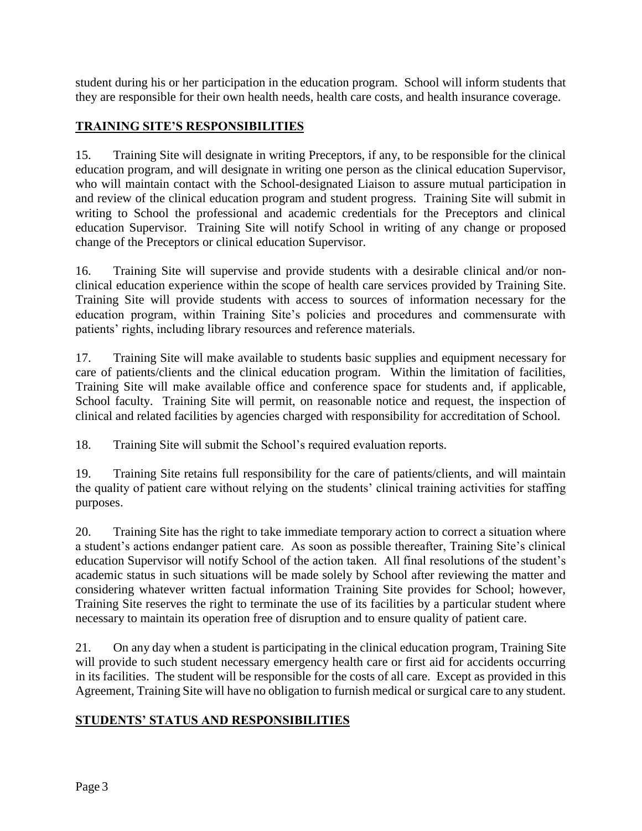student during his or her participation in the education program. School will inform students that they are responsible for their own health needs, health care costs, and health insurance coverage.

## **TRAINING SITE'S RESPONSIBILITIES**

15. Training Site will designate in writing Preceptors, if any, to be responsible for the clinical education program, and will designate in writing one person as the clinical education Supervisor, who will maintain contact with the School-designated Liaison to assure mutual participation in and review of the clinical education program and student progress. Training Site will submit in writing to School the professional and academic credentials for the Preceptors and clinical education Supervisor. Training Site will notify School in writing of any change or proposed change of the Preceptors or clinical education Supervisor.

16. Training Site will supervise and provide students with a desirable clinical and/or nonclinical education experience within the scope of health care services provided by Training Site. Training Site will provide students with access to sources of information necessary for the education program, within Training Site's policies and procedures and commensurate with patients' rights, including library resources and reference materials.

17. Training Site will make available to students basic supplies and equipment necessary for care of patients/clients and the clinical education program. Within the limitation of facilities, Training Site will make available office and conference space for students and, if applicable, School faculty. Training Site will permit, on reasonable notice and request, the inspection of clinical and related facilities by agencies charged with responsibility for accreditation of School.

18. Training Site will submit the School's required evaluation reports.

19. Training Site retains full responsibility for the care of patients/clients, and will maintain the quality of patient care without relying on the students' clinical training activities for staffing purposes.

20. Training Site has the right to take immediate temporary action to correct a situation where a student's actions endanger patient care. As soon as possible thereafter, Training Site's clinical education Supervisor will notify School of the action taken. All final resolutions of the student's academic status in such situations will be made solely by School after reviewing the matter and considering whatever written factual information Training Site provides for School; however, Training Site reserves the right to terminate the use of its facilities by a particular student where necessary to maintain its operation free of disruption and to ensure quality of patient care.

21. On any day when a student is participating in the clinical education program, Training Site will provide to such student necessary emergency health care or first aid for accidents occurring in its facilities. The student will be responsible for the costs of all care. Except as provided in this Agreement, Training Site will have no obligation to furnish medical or surgical care to any student.

# **STUDENTS' STATUS AND RESPONSIBILITIES**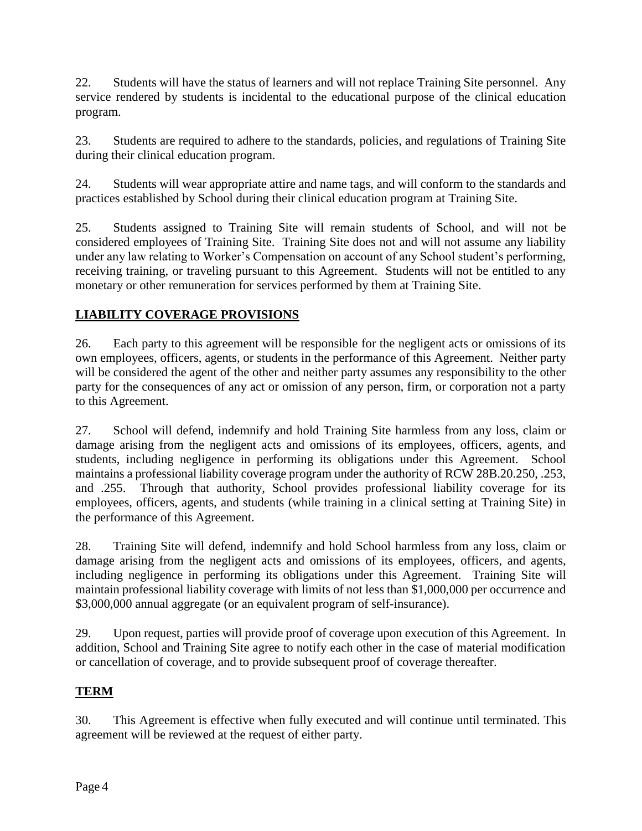22. Students will have the status of learners and will not replace Training Site personnel. Any service rendered by students is incidental to the educational purpose of the clinical education program.

23. Students are required to adhere to the standards, policies, and regulations of Training Site during their clinical education program.

24. Students will wear appropriate attire and name tags, and will conform to the standards and practices established by School during their clinical education program at Training Site.

25. Students assigned to Training Site will remain students of School, and will not be considered employees of Training Site. Training Site does not and will not assume any liability under any law relating to Worker's Compensation on account of any School student's performing, receiving training, or traveling pursuant to this Agreement. Students will not be entitled to any monetary or other remuneration for services performed by them at Training Site.

# **LIABILITY COVERAGE PROVISIONS**

26. Each party to this agreement will be responsible for the negligent acts or omissions of its own employees, officers, agents, or students in the performance of this Agreement. Neither party will be considered the agent of the other and neither party assumes any responsibility to the other party for the consequences of any act or omission of any person, firm, or corporation not a party to this Agreement.

27. School will defend, indemnify and hold Training Site harmless from any loss, claim or damage arising from the negligent acts and omissions of its employees, officers, agents, and students, including negligence in performing its obligations under this Agreement. School maintains a professional liability coverage program under the authority of RCW 28B.20.250, .253, and .255. Through that authority, School provides professional liability coverage for its employees, officers, agents, and students (while training in a clinical setting at Training Site) in the performance of this Agreement.

28. Training Site will defend, indemnify and hold School harmless from any loss, claim or damage arising from the negligent acts and omissions of its employees, officers, and agents, including negligence in performing its obligations under this Agreement. Training Site will maintain professional liability coverage with limits of not less than \$1,000,000 per occurrence and \$3,000,000 annual aggregate (or an equivalent program of self-insurance).

29. Upon request, parties will provide proof of coverage upon execution of this Agreement. In addition, School and Training Site agree to notify each other in the case of material modification or cancellation of coverage, and to provide subsequent proof of coverage thereafter.

### **TERM**

30. This Agreement is effective when fully executed and will continue until terminated. This agreement will be reviewed at the request of either party.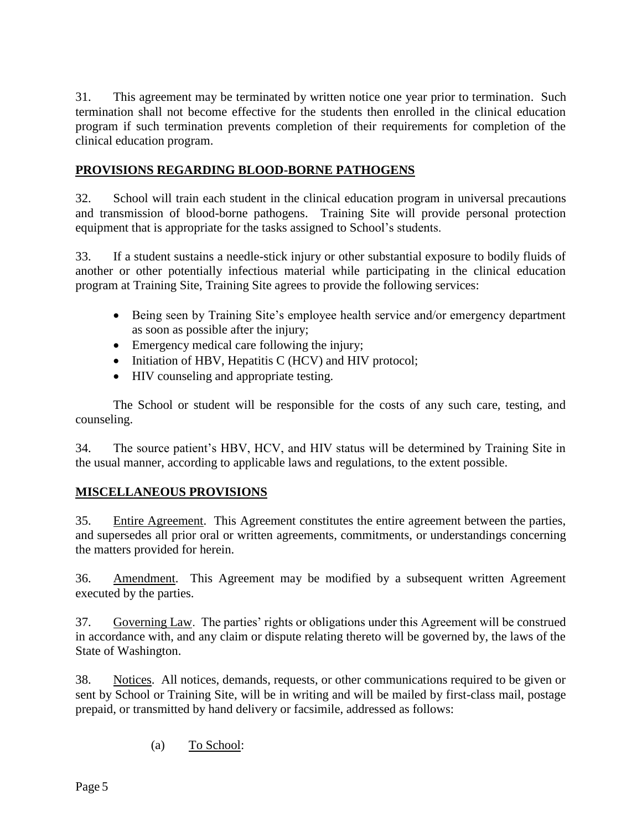31. This agreement may be terminated by written notice one year prior to termination. Such termination shall not become effective for the students then enrolled in the clinical education program if such termination prevents completion of their requirements for completion of the clinical education program.

#### **PROVISIONS REGARDING BLOOD-BORNE PATHOGENS**

32. School will train each student in the clinical education program in universal precautions and transmission of blood-borne pathogens. Training Site will provide personal protection equipment that is appropriate for the tasks assigned to School's students.

33. If a student sustains a needle-stick injury or other substantial exposure to bodily fluids of another or other potentially infectious material while participating in the clinical education program at Training Site, Training Site agrees to provide the following services:

- Being seen by Training Site's employee health service and/or emergency department as soon as possible after the injury;
- Emergency medical care following the injury;
- Initiation of HBV, Hepatitis C (HCV) and HIV protocol;
- HIV counseling and appropriate testing.

The School or student will be responsible for the costs of any such care, testing, and counseling.

34. The source patient's HBV, HCV, and HIV status will be determined by Training Site in the usual manner, according to applicable laws and regulations, to the extent possible.

### **MISCELLANEOUS PROVISIONS**

35. Entire Agreement. This Agreement constitutes the entire agreement between the parties, and supersedes all prior oral or written agreements, commitments, or understandings concerning the matters provided for herein.

36. Amendment. This Agreement may be modified by a subsequent written Agreement executed by the parties.

37. Governing Law. The parties' rights or obligations under this Agreement will be construed in accordance with, and any claim or dispute relating thereto will be governed by, the laws of the State of Washington.

38. Notices. All notices, demands, requests, or other communications required to be given or sent by School or Training Site, will be in writing and will be mailed by first-class mail, postage prepaid, or transmitted by hand delivery or facsimile, addressed as follows:

(a) To School: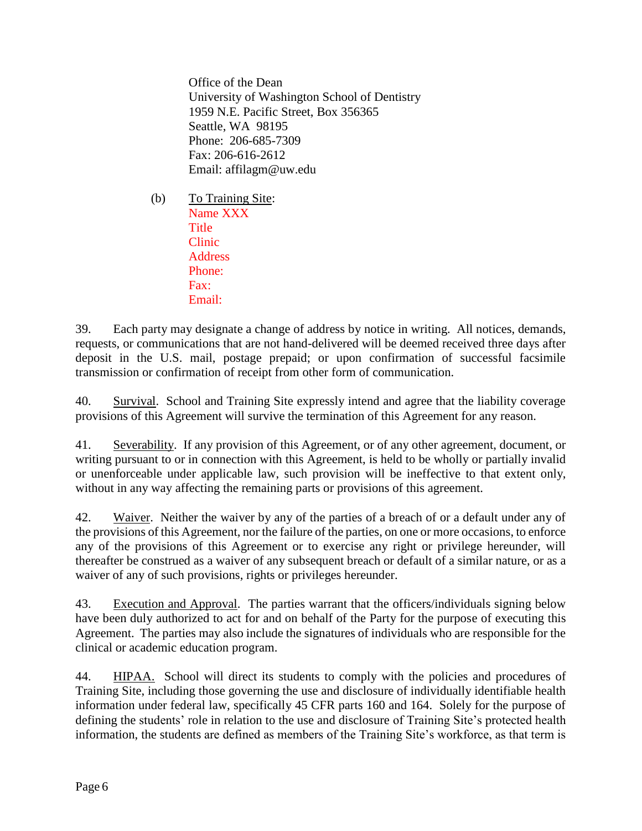Office of the Dean University of Washington School of Dentistry 1959 N.E. Pacific Street, Box 356365 Seattle, WA 98195 Phone: 206-685-7309 Fax: 206-616-2612 Email: affilagm@uw.edu

(b) To Training Site: Name XXX **Title** Clinic **Address** Phone: Fax: Email:

39. Each party may designate a change of address by notice in writing. All notices, demands, requests, or communications that are not hand-delivered will be deemed received three days after deposit in the U.S. mail, postage prepaid; or upon confirmation of successful facsimile transmission or confirmation of receipt from other form of communication.

40. Survival. School and Training Site expressly intend and agree that the liability coverage provisions of this Agreement will survive the termination of this Agreement for any reason.

41. Severability. If any provision of this Agreement, or of any other agreement, document, or writing pursuant to or in connection with this Agreement, is held to be wholly or partially invalid or unenforceable under applicable law, such provision will be ineffective to that extent only, without in any way affecting the remaining parts or provisions of this agreement.

42. Waiver. Neither the waiver by any of the parties of a breach of or a default under any of the provisions of this Agreement, nor the failure of the parties, on one or more occasions, to enforce any of the provisions of this Agreement or to exercise any right or privilege hereunder, will thereafter be construed as a waiver of any subsequent breach or default of a similar nature, or as a waiver of any of such provisions, rights or privileges hereunder.

43. Execution and Approval. The parties warrant that the officers/individuals signing below have been duly authorized to act for and on behalf of the Party for the purpose of executing this Agreement. The parties may also include the signatures of individuals who are responsible for the clinical or academic education program.

44. HIPAA. School will direct its students to comply with the policies and procedures of Training Site, including those governing the use and disclosure of individually identifiable health information under federal law, specifically 45 CFR parts 160 and 164. Solely for the purpose of defining the students' role in relation to the use and disclosure of Training Site's protected health information, the students are defined as members of the Training Site's workforce, as that term is